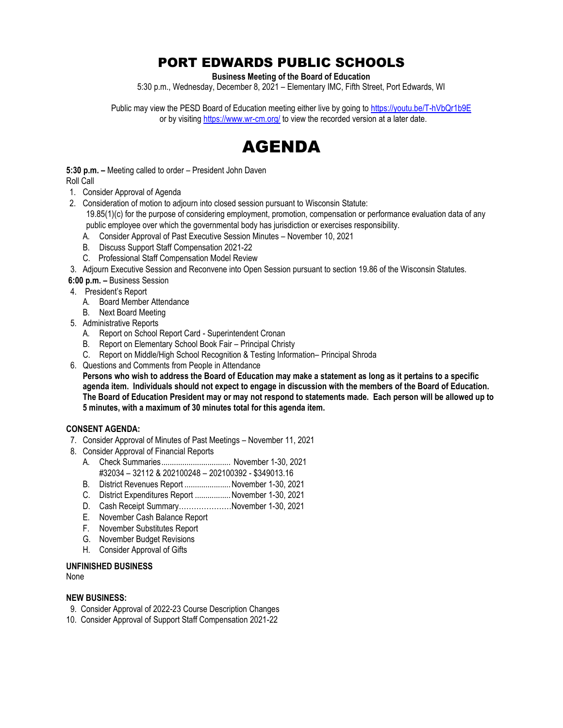# PORT EDWARDS PUBLIC SCHOOLS

**Business Meeting of the Board of Education**

5:30 p.m., Wednesday, December 8, 2021 – Elementary IMC, Fifth Street, Port Edwards, WI

Public may view the PESD Board of Education meeting either live by going to <https://youtu.be/T-hVbQr1b9E> or by visitin[g https://www.wr-cm.org/](https://www.wr-cm.org/) to view the recorded version at a later date.



**5:30 p.m. –** Meeting called to order – President John Daven Roll Call

- 1. Consider Approval of Agenda
- 2. Consideration of motion to adjourn into closed session pursuant to Wisconsin Statute:

19.85(1)(c) for the purpose of considering employment, promotion, compensation or performance evaluation data of any public employee over which the governmental body has jurisdiction or exercises responsibility.

- A. Consider Approval of Past Executive Session Minutes November 10, 2021
- B. Discuss Support Staff Compensation 2021-22
- C. Professional Staff Compensation Model Review
- 3. Adjourn Executive Session and Reconvene into Open Session pursuant to section 19.86 of the Wisconsin Statutes.

## **6:00 p.m. –** Business Session

- 4. President's Report
	- A. Board Member Attendance
	- B. Next Board Meeting
- 5. Administrative Reports
	- A. Report on School Report Card Superintendent Cronan
	- B. Report on Elementary School Book Fair Principal Christy
	- C. Report on Middle/High School Recognition & Testing Information– Principal Shroda
- 6. Questions and Comments from People in Attendance

**Persons who wish to address the Board of Education may make a statement as long as it pertains to a specific agenda item. Individuals should not expect to engage in discussion with the members of the Board of Education. The Board of Education President may or may not respond to statements made. Each person will be allowed up to 5 minutes, with a maximum of 30 minutes total for this agenda item.**

### **CONSENT AGENDA:**

- 7. Consider Approval of Minutes of Past Meetings November 11, 2021
- 8. Consider Approval of Financial Reports
	- A. Check Summaries................................. November 1-30, 2021 #32034 – 32112 & 202100248 – 202100392 - \$349013.16
	- B. District Revenues Report ......................November 1-30, 2021
	- C. District Expenditures Report .................November 1-30, 2021
	- D. Cash Receipt Summary…………………November 1-30, 2021
	- E. November Cash Balance Report
	- F. November Substitutes Report
	- G. November Budget Revisions
	- H. Consider Approval of Gifts

### **UNFINISHED BUSINESS**

None

### **NEW BUSINESS:**

- 9. Consider Approval of 2022-23 Course Description Changes
- 10. Consider Approval of Support Staff Compensation 2021-22